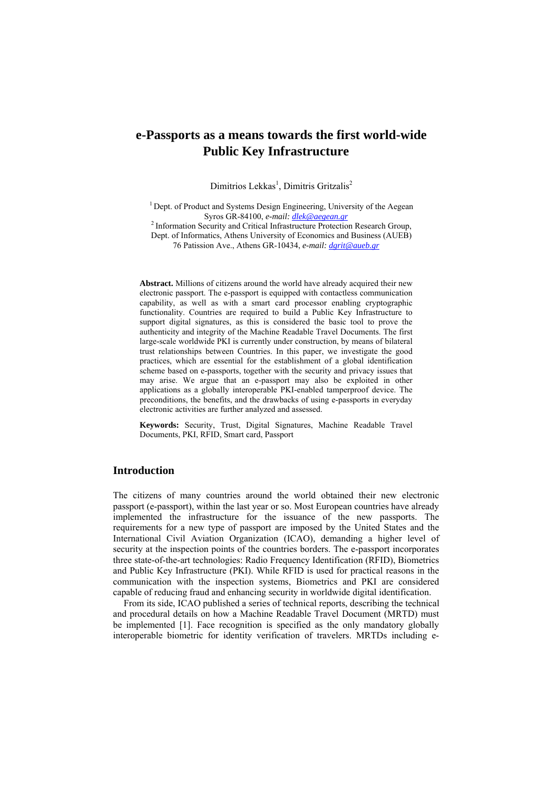# **e-Passports as a means towards the first world-wide Public Key Infrastructure**

Dimitrios Lekkas<sup>1</sup>, Dimitris Gritzalis<sup>2</sup>

<sup>1</sup> Dept. of Product and Systems Design Engineering, University of the Aegean Syros GR-84100, *e-mail: dlek@aegean.gr* 2 Information Security and Critical Infrastructure Protection Research Group,

Dept. of Informatics, Athens University of Economics and Business (AUEB) 76 Patission Ave., Athens GR-10434, *e-mail: dgrit@aueb.gr* 

**Abstract.** Millions of citizens around the world have already acquired their new electronic passport. The e-passport is equipped with contactless communication capability, as well as with a smart card processor enabling cryptographic functionality. Countries are required to build a Public Key Infrastructure to support digital signatures, as this is considered the basic tool to prove the authenticity and integrity of the Machine Readable Travel Documents. The first large-scale worldwide PKI is currently under construction, by means of bilateral trust relationships between Countries. In this paper, we investigate the good practices, which are essential for the establishment of a global identification scheme based on e-passports, together with the security and privacy issues that may arise. We argue that an e-passport may also be exploited in other applications as a globally interoperable PKI-enabled tamperproof device. The preconditions, the benefits, and the drawbacks of using e-passports in everyday electronic activities are further analyzed and assessed.

**Keywords:** Security, Trust, Digital Signatures, Machine Readable Travel Documents, PKI, RFID, Smart card, Passport

### **Introduction**

The citizens of many countries around the world obtained their new electronic passport (e-passport), within the last year or so. Most European countries have already implemented the infrastructure for the issuance of the new passports. The requirements for a new type of passport are imposed by the United States and the International Civil Aviation Organization (ICAO), demanding a higher level of security at the inspection points of the countries borders. The e-passport incorporates three state-of-the-art technologies: Radio Frequency Identification (RFID), Biometrics and Public Key Infrastructure (PKI). While RFID is used for practical reasons in the communication with the inspection systems, Biometrics and PKI are considered capable of reducing fraud and enhancing security in worldwide digital identification.

From its side, ICAO published a series of technical reports, describing the technical and procedural details on how a Machine Readable Travel Document (MRTD) must be implemented [1]. Face recognition is specified as the only mandatory globally interoperable biometric for identity verification of travelers. MRTDs including e-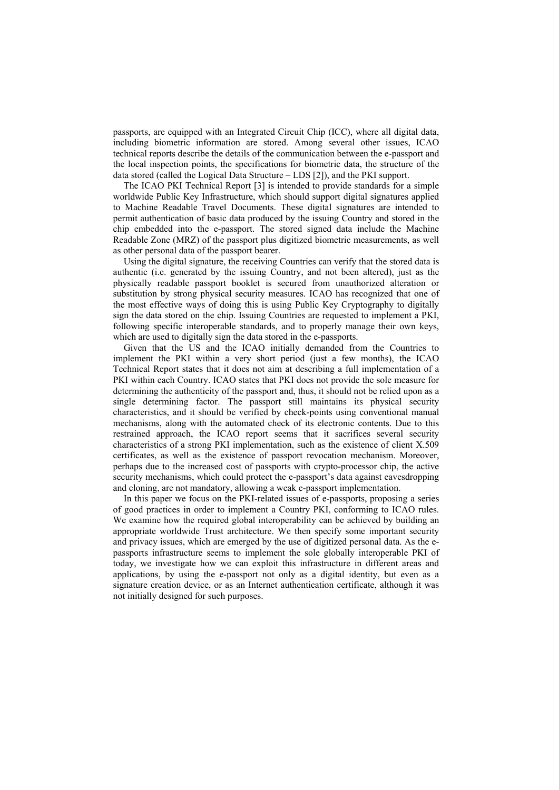passports, are equipped with an Integrated Circuit Chip (ICC), where all digital data, including biometric information are stored. Among several other issues, ICAO technical reports describe the details of the communication between the e-passport and the local inspection points, the specifications for biometric data, the structure of the data stored (called the Logical Data Structure – LDS [2]), and the PKI support.

The ICAO PKI Technical Report [3] is intended to provide standards for a simple worldwide Public Key Infrastructure, which should support digital signatures applied to Machine Readable Travel Documents. These digital signatures are intended to permit authentication of basic data produced by the issuing Country and stored in the chip embedded into the e-passport. The stored signed data include the Machine Readable Zone (MRZ) of the passport plus digitized biometric measurements, as well as other personal data of the passport bearer.

Using the digital signature, the receiving Countries can verify that the stored data is authentic (i.e. generated by the issuing Country, and not been altered), just as the physically readable passport booklet is secured from unauthorized alteration or substitution by strong physical security measures. ICAO has recognized that one of the most effective ways of doing this is using Public Key Cryptography to digitally sign the data stored on the chip. Issuing Countries are requested to implement a PKI, following specific interoperable standards, and to properly manage their own keys, which are used to digitally sign the data stored in the e-passports.

Given that the US and the ICAO initially demanded from the Countries to implement the PKI within a very short period (just a few months), the ICAO Technical Report states that it does not aim at describing a full implementation of a PKI within each Country. ICAO states that PKI does not provide the sole measure for determining the authenticity of the passport and, thus, it should not be relied upon as a single determining factor. The passport still maintains its physical security characteristics, and it should be verified by check-points using conventional manual mechanisms, along with the automated check of its electronic contents. Due to this restrained approach, the ICAO report seems that it sacrifices several security characteristics of a strong PKI implementation, such as the existence of client X.509 certificates, as well as the existence of passport revocation mechanism. Moreover, perhaps due to the increased cost of passports with crypto-processor chip, the active security mechanisms, which could protect the e-passport's data against eavesdropping and cloning, are not mandatory, allowing a weak e-passport implementation.

In this paper we focus on the PKI-related issues of e-passports, proposing a series of good practices in order to implement a Country PKI, conforming to ICAO rules. We examine how the required global interoperability can be achieved by building an appropriate worldwide Trust architecture. We then specify some important security and privacy issues, which are emerged by the use of digitized personal data. As the epassports infrastructure seems to implement the sole globally interoperable PKI of today, we investigate how we can exploit this infrastructure in different areas and applications, by using the e-passport not only as a digital identity, but even as a signature creation device, or as an Internet authentication certificate, although it was not initially designed for such purposes.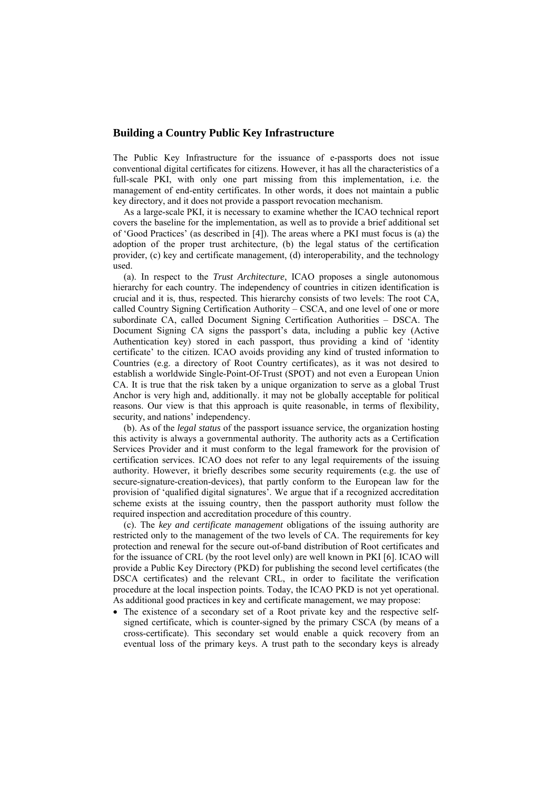#### **Building a Country Public Key Infrastructure**

The Public Key Infrastructure for the issuance of e-passports does not issue conventional digital certificates for citizens. However, it has all the characteristics of a full-scale PKI, with only one part missing from this implementation, i.e. the management of end-entity certificates. In other words, it does not maintain a public key directory, and it does not provide a passport revocation mechanism.

As a large-scale PKI, it is necessary to examine whether the ICAO technical report covers the baseline for the implementation, as well as to provide a brief additional set of 'Good Practices' (as described in [4]). The areas where a PKI must focus is (a) the adoption of the proper trust architecture, (b) the legal status of the certification provider, (c) key and certificate management, (d) interoperability, and the technology used.

(a). In respect to the *Trust Architecture*, ICAO proposes a single autonomous hierarchy for each country. The independency of countries in citizen identification is crucial and it is, thus, respected. This hierarchy consists of two levels: The root CA, called Country Signing Certification Authority – CSCA, and one level of one or more subordinate CA, called Document Signing Certification Authorities – DSCA. The Document Signing CA signs the passport's data, including a public key (Active Authentication key) stored in each passport, thus providing a kind of 'identity certificate' to the citizen. ICAO avoids providing any kind of trusted information to Countries (e.g. a directory of Root Country certificates), as it was not desired to establish a worldwide Single-Point-Of-Trust (SPOT) and not even a European Union CA. It is true that the risk taken by a unique organization to serve as a global Trust Anchor is very high and, additionally. it may not be globally acceptable for political reasons. Our view is that this approach is quite reasonable, in terms of flexibility, security, and nations' independency.

(b). As of the *legal status* of the passport issuance service, the organization hosting this activity is always a governmental authority. The authority acts as a Certification Services Provider and it must conform to the legal framework for the provision of certification services. ICAO does not refer to any legal requirements of the issuing authority. However, it briefly describes some security requirements (e.g. the use of secure-signature-creation-devices), that partly conform to the European law for the provision of 'qualified digital signatures'. We argue that if a recognized accreditation scheme exists at the issuing country, then the passport authority must follow the required inspection and accreditation procedure of this country.

(c). The *key and certificate management* obligations of the issuing authority are restricted only to the management of the two levels of CA. The requirements for key protection and renewal for the secure out-of-band distribution of Root certificates and for the issuance of CRL (by the root level only) are well known in PKI [6]. ICAO will provide a Public Key Directory (PKD) for publishing the second level certificates (the DSCA certificates) and the relevant CRL, in order to facilitate the verification procedure at the local inspection points. Today, the ICAO PKD is not yet operational. As additional good practices in key and certificate management, we may propose:

• The existence of a secondary set of a Root private key and the respective selfsigned certificate, which is counter-signed by the primary CSCA (by means of a cross-certificate). This secondary set would enable a quick recovery from an eventual loss of the primary keys. A trust path to the secondary keys is already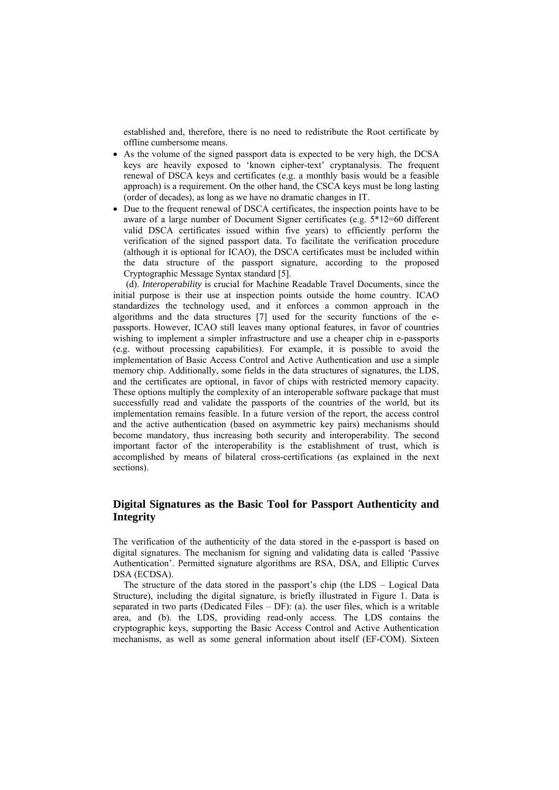established and, therefore, there is no need to redistribute the Root certificate by offline cumbersome means.

- As the volume of the signed passport data is expected to be very high, the DCSA keys are heavily exposed to 'known cipher-text' cryptanalysis. The frequent renewal of DSCA keys and certificates (e.g. a monthly basis would be a feasible approach) is a requirement. On the other hand, the CSCA keys must be long lasting (order of decades), as long as we have no dramatic changes in IT.
- Due to the frequent renewal of DSCA certificates, the inspection points have to be aware of a large number of Document Signer certificates (e.g. 5\*12=60 different valid DSCA certificates issued within five years) to efficiently perform the verification of the signed passport data. To facilitate the verification procedure (although it is optional for ICAO), the DSCA certificates must be included within the data structure of the passport signature, according to the proposed Cryptographic Message Syntax standard [5].

 (d). *Interoperability* is crucial for Machine Readable Travel Documents, since the initial purpose is their use at inspection points outside the home country. ICAO standardizes the technology used, and it enforces a common approach in the algorithms and the data structures [7] used for the security functions of the epassports. However, ICAO still leaves many optional features, in favor of countries wishing to implement a simpler infrastructure and use a cheaper chip in e-passports (e.g. without processing capabilities). For example, it is possible to avoid the implementation of Basic Access Control and Active Authentication and use a simple memory chip. Additionally, some fields in the data structures of signatures, the LDS, and the certificates are optional, in favor of chips with restricted memory capacity. These options multiply the complexity of an interoperable software package that must successfully read and validate the passports of the countries of the world, but its implementation remains feasible. In a future version of the report, the access control and the active authentication (based on asymmetric key pairs) mechanisms should become mandatory, thus increasing both security and interoperability. The second important factor of the interoperability is the establishment of trust, which is accomplished by means of bilateral cross-certifications (as explained in the next sections).

## **Digital Signatures as the Basic Tool for Passport Authenticity and Integrity**

The verification of the authenticity of the data stored in the e-passport is based on digital signatures. The mechanism for signing and validating data is called 'Passive Authentication'. Permitted signature algorithms are RSA, DSA, and Elliptic Curves DSA (ECDSA).

The structure of the data stored in the passport's chip (the LDS – Logical Data Structure), including the digital signature, is briefly illustrated in Figure 1. Data is separated in two parts (Dedicated Files  $-DF$ ): (a). the user files, which is a writable area, and (b). the LDS, providing read-only access. The LDS contains the cryptographic keys, supporting the Basic Access Control and Active Authentication mechanisms, as well as some general information about itself (EF-COM). Sixteen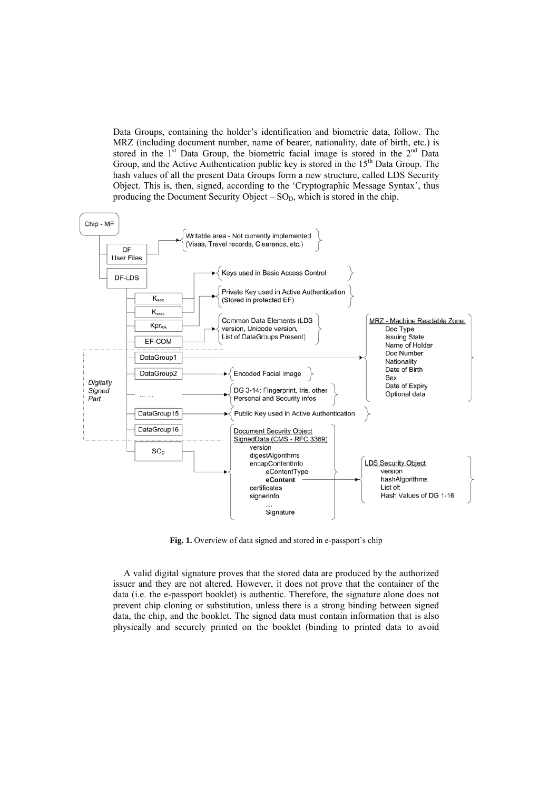Data Groups, containing the holder's identification and biometric data, follow. The MRZ (including document number, name of bearer, nationality, date of birth, etc.) is stored in the  $1<sup>st</sup>$  Data Group, the biometric facial image is stored in the  $2<sup>nd</sup>$  Data Group, and the Active Authentication public key is stored in the 15<sup>th</sup> Data Group. The hash values of all the present Data Groups form a new structure, called LDS Security Object. This is, then, signed, according to the 'Cryptographic Message Syntax', thus producing the Document Security Object –  $SO<sub>D</sub>$ , which is stored in the chip.



Fig. 1. Overview of data signed and stored in e-passport's chip

A valid digital signature proves that the stored data are produced by the authorized issuer and they are not altered. However, it does not prove that the container of the data (i.e. the e-passport booklet) is authentic. Therefore, the signature alone does not prevent chip cloning or substitution, unless there is a strong binding between signed data, the chip, and the booklet. The signed data must contain information that is also physically and securely printed on the booklet (binding to printed data to avoid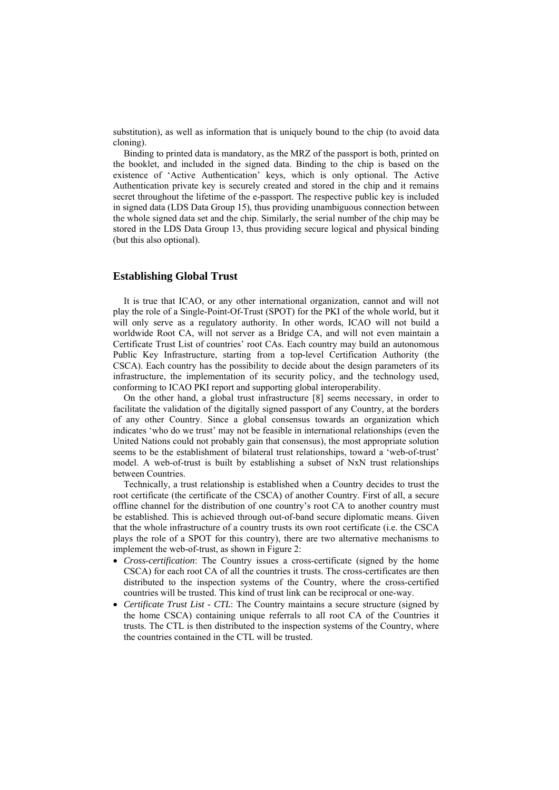substitution), as well as information that is uniquely bound to the chip (to avoid data cloning).

Binding to printed data is mandatory, as the MRZ of the passport is both, printed on the booklet, and included in the signed data. Binding to the chip is based on the existence of 'Active Authentication' keys, which is only optional. The Active Authentication private key is securely created and stored in the chip and it remains secret throughout the lifetime of the e-passport. The respective public key is included in signed data (LDS Data Group 15), thus providing unambiguous connection between the whole signed data set and the chip. Similarly, the serial number of the chip may be stored in the LDS Data Group 13, thus providing secure logical and physical binding (but this also optional).

#### **Establishing Global Trust**

It is true that ICAO, or any other international organization, cannot and will not play the role of a Single-Point-Of-Trust (SPOT) for the PKI of the whole world, but it will only serve as a regulatory authority. In other words, ICAO will not build a worldwide Root CA, will not server as a Bridge CA, and will not even maintain a Certificate Trust List of countries' root CAs. Each country may build an autonomous Public Key Infrastructure, starting from a top-level Certification Authority (the CSCA). Each country has the possibility to decide about the design parameters of its infrastructure, the implementation of its security policy, and the technology used, conforming to ICAO PKI report and supporting global interoperability.

On the other hand, a global trust infrastructure [8] seems necessary, in order to facilitate the validation of the digitally signed passport of any Country, at the borders of any other Country. Since a global consensus towards an organization which indicates 'who do we trust' may not be feasible in international relationships (even the United Nations could not probably gain that consensus), the most appropriate solution seems to be the establishment of bilateral trust relationships, toward a 'web-of-trust' model. A web-of-trust is built by establishing a subset of NxN trust relationships between Countries.

Technically, a trust relationship is established when a Country decides to trust the root certificate (the certificate of the CSCA) of another Country. First of all, a secure offline channel for the distribution of one country's root CA to another country must be established. This is achieved through out-of-band secure diplomatic means. Given that the whole infrastructure of a country trusts its own root certificate (i.e. the CSCA plays the role of a SPOT for this country), there are two alternative mechanisms to implement the web-of-trust, as shown in Figure 2:

- *Cross-certification*: The Country issues a cross-certificate (signed by the home CSCA) for each root CA of all the countries it trusts. The cross-certificates are then distributed to the inspection systems of the Country, where the cross-certified countries will be trusted. This kind of trust link can be reciprocal or one-way.
- *Certificate Trust List CTL*: The Country maintains a secure structure (signed by the home CSCA) containing unique referrals to all root CA of the Countries it trusts. The CTL is then distributed to the inspection systems of the Country, where the countries contained in the CTL will be trusted.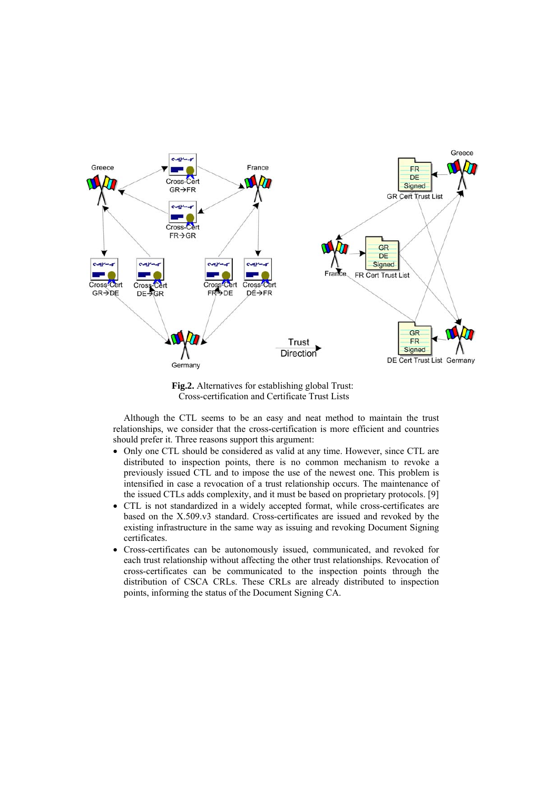

**Fig.2.** Alternatives for establishing global Trust: Cross-certification and Certificate Trust Lists

Although the CTL seems to be an easy and neat method to maintain the trust relationships, we consider that the cross-certification is more efficient and countries should prefer it. Three reasons support this argument:

- Only one CTL should be considered as valid at any time. However, since CTL are distributed to inspection points, there is no common mechanism to revoke a previously issued CTL and to impose the use of the newest one. This problem is intensified in case a revocation of a trust relationship occurs. The maintenance of the issued CTLs adds complexity, and it must be based on proprietary protocols. [9]
- CTL is not standardized in a widely accepted format, while cross-certificates are based on the X.509.v3 standard. Cross-certificates are issued and revoked by the existing infrastructure in the same way as issuing and revoking Document Signing certificates.
- Cross-certificates can be autonomously issued, communicated, and revoked for each trust relationship without affecting the other trust relationships. Revocation of cross-certificates can be communicated to the inspection points through the distribution of CSCA CRLs. These CRLs are already distributed to inspection points, informing the status of the Document Signing CA.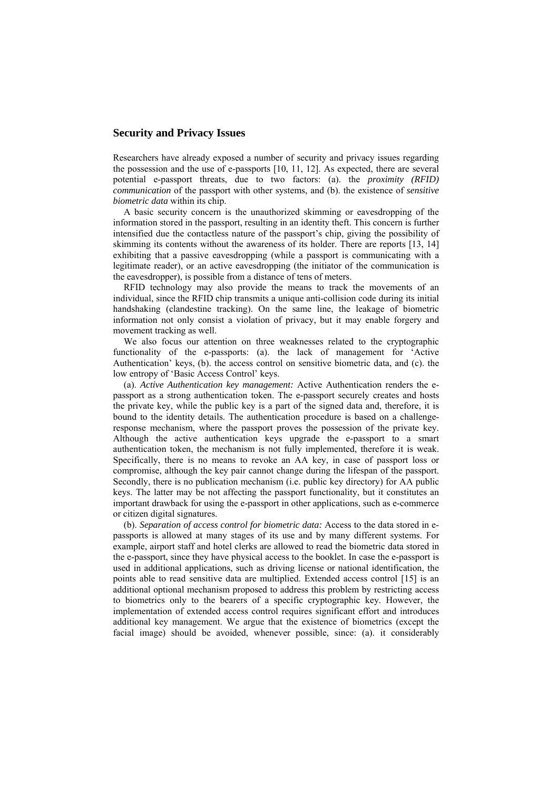### **Security and Privacy Issues**

Researchers have already exposed a number of security and privacy issues regarding the possession and the use of e-passports [10, 11, 12]. As expected, there are several potential e-passport threats, due to two factors: (a). the *proximity (RFID) communication* of the passport with other systems, and (b). the existence of *sensitive biometric data* within its chip.

A basic security concern is the unauthorized skimming or eavesdropping of the information stored in the passport, resulting in an identity theft. This concern is further intensified due the contactless nature of the passport's chip, giving the possibility of skimming its contents without the awareness of its holder. There are reports [13, 14] exhibiting that a passive eavesdropping (while a passport is communicating with a legitimate reader), or an active eavesdropping (the initiator of the communication is the eavesdropper), is possible from a distance of tens of meters.

RFID technology may also provide the means to track the movements of an individual, since the RFID chip transmits a unique anti-collision code during its initial handshaking (clandestine tracking). On the same line, the leakage of biometric information not only consist a violation of privacy, but it may enable forgery and movement tracking as well.

We also focus our attention on three weaknesses related to the cryptographic functionality of the e-passports: (a). the lack of management for 'Active Authentication' keys, (b). the access control on sensitive biometric data, and (c). the low entropy of 'Basic Access Control' keys.

(a). *Active Authentication key management:* Active Authentication renders the epassport as a strong authentication token. The e-passport securely creates and hosts the private key, while the public key is a part of the signed data and, therefore, it is bound to the identity details. The authentication procedure is based on a challengeresponse mechanism, where the passport proves the possession of the private key. Although the active authentication keys upgrade the e-passport to a smart authentication token, the mechanism is not fully implemented, therefore it is weak. Specifically, there is no means to revoke an AA key, in case of passport loss or compromise, although the key pair cannot change during the lifespan of the passport. Secondly, there is no publication mechanism (i.e. public key directory) for AA public keys. The latter may be not affecting the passport functionality, but it constitutes an important drawback for using the e-passport in other applications, such as e-commerce or citizen digital signatures.

(b). *Separation of access control for biometric data:* Access to the data stored in epassports is allowed at many stages of its use and by many different systems. For example, airport staff and hotel clerks are allowed to read the biometric data stored in the e-passport, since they have physical access to the booklet. In case the e-passport is used in additional applications, such as driving license or national identification, the points able to read sensitive data are multiplied. Extended access control [15] is an additional optional mechanism proposed to address this problem by restricting access to biometrics only to the bearers of a specific cryptographic key. However, the implementation of extended access control requires significant effort and introduces additional key management. We argue that the existence of biometrics (except the facial image) should be avoided, whenever possible, since: (a). it considerably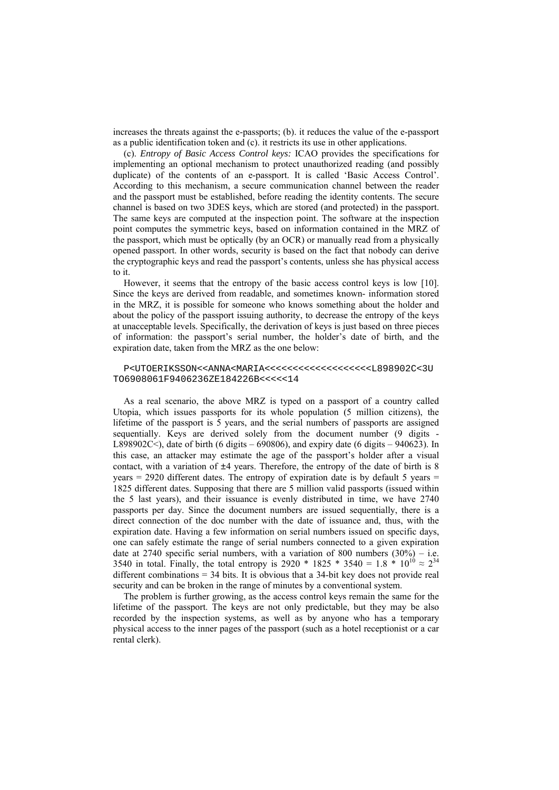increases the threats against the e-passports; (b). it reduces the value of the e-passport as a public identification token and (c). it restricts its use in other applications.

(c). *Entropy of Basic Access Control keys:* ICAO provides the specifications for implementing an optional mechanism to protect unauthorized reading (and possibly duplicate) of the contents of an e-passport. It is called 'Basic Access Control'. According to this mechanism, a secure communication channel between the reader and the passport must be established, before reading the identity contents. The secure channel is based on two 3DES keys, which are stored (and protected) in the passport. The same keys are computed at the inspection point. The software at the inspection point computes the symmetric keys, based on information contained in the MRZ of the passport, which must be optically (by an OCR) or manually read from a physically opened passport. In other words, security is based on the fact that nobody can derive the cryptographic keys and read the passport's contents, unless she has physical access to it.

However, it seems that the entropy of the basic access control keys is low [10]. Since the keys are derived from readable, and sometimes known- information stored in the MRZ, it is possible for someone who knows something about the holder and about the policy of the passport issuing authority, to decrease the entropy of the keys at unacceptable levels. Specifically, the derivation of keys is just based on three pieces of information: the passport's serial number, the holder's date of birth, and the expiration date, taken from the MRZ as the one below:

#### P<UTOERIKSSON<<ANNA<MARIA<<<<<<<<<<<<<<<<<<<L898902C<3U TO6908061F9406236ZE184226B<<<<<14

As a real scenario, the above MRZ is typed on a passport of a country called Utopia, which issues passports for its whole population (5 million citizens), the lifetime of the passport is 5 years, and the serial numbers of passports are assigned sequentially. Keys are derived solely from the document number (9 digits - L898902C $\lt$ ), date of birth (6 digits – 690806), and expiry date (6 digits – 940623). In this case, an attacker may estimate the age of the passport's holder after a visual contact, with a variation of  $\pm 4$  years. Therefore, the entropy of the date of birth is 8 years  $= 2920$  different dates. The entropy of expiration date is by default 5 years  $=$ 1825 different dates. Supposing that there are 5 million valid passports (issued within the 5 last years), and their issuance is evenly distributed in time, we have 2740 passports per day. Since the document numbers are issued sequentially, there is a direct connection of the doc number with the date of issuance and, thus, with the expiration date. Having a few information on serial numbers issued on specific days, one can safely estimate the range of serial numbers connected to a given expiration date at 2740 specific serial numbers, with a variation of 800 numbers  $(30\%)$  – i.e. 3540 in total. Finally, the total entropy is 2920 \* 1825 \* 3540 = 1.8 \*  $10^{10} \approx 2^{34}$ different combinations = 34 bits. It is obvious that a 34-bit key does not provide real security and can be broken in the range of minutes by a conventional system.

The problem is further growing, as the access control keys remain the same for the lifetime of the passport. The keys are not only predictable, but they may be also recorded by the inspection systems, as well as by anyone who has a temporary physical access to the inner pages of the passport (such as a hotel receptionist or a car rental clerk).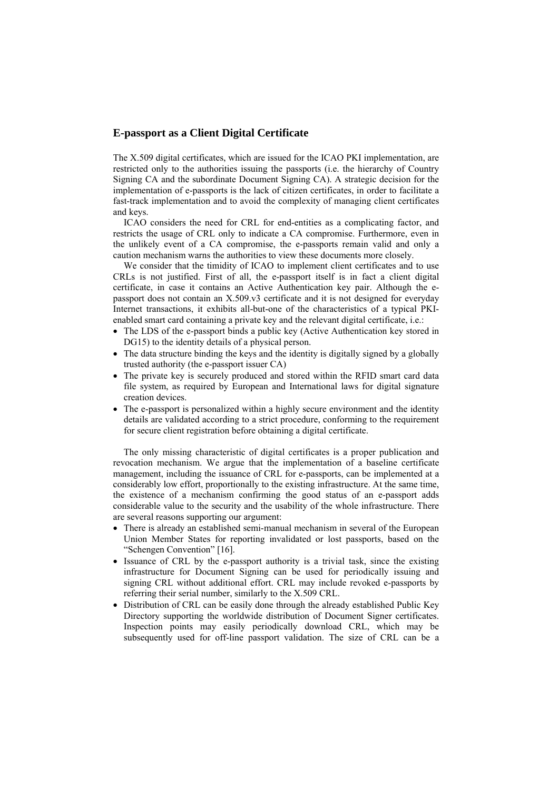# **E-passport as a Client Digital Certificate**

The X.509 digital certificates, which are issued for the ICAO PKI implementation, are restricted only to the authorities issuing the passports (i.e. the hierarchy of Country Signing CA and the subordinate Document Signing CA). A strategic decision for the implementation of e-passports is the lack of citizen certificates, in order to facilitate a fast-track implementation and to avoid the complexity of managing client certificates and keys.

ICAO considers the need for CRL for end-entities as a complicating factor, and restricts the usage of CRL only to indicate a CA compromise. Furthermore, even in the unlikely event of a CA compromise, the e-passports remain valid and only a caution mechanism warns the authorities to view these documents more closely.

We consider that the timidity of ICAO to implement client certificates and to use CRLs is not justified. First of all, the e-passport itself is in fact a client digital certificate, in case it contains an Active Authentication key pair. Although the epassport does not contain an X.509.v3 certificate and it is not designed for everyday Internet transactions, it exhibits all-but-one of the characteristics of a typical PKIenabled smart card containing a private key and the relevant digital certificate, i.e.:

- The LDS of the e-passport binds a public key (Active Authentication key stored in DG15) to the identity details of a physical person.
- The data structure binding the keys and the identity is digitally signed by a globally trusted authority (the e-passport issuer CA)
- The private key is securely produced and stored within the RFID smart card data file system, as required by European and International laws for digital signature creation devices.
- The e-passport is personalized within a highly secure environment and the identity details are validated according to a strict procedure, conforming to the requirement for secure client registration before obtaining a digital certificate.

The only missing characteristic of digital certificates is a proper publication and revocation mechanism. We argue that the implementation of a baseline certificate management, including the issuance of CRL for e-passports, can be implemented at a considerably low effort, proportionally to the existing infrastructure. At the same time, the existence of a mechanism confirming the good status of an e-passport adds considerable value to the security and the usability of the whole infrastructure. There are several reasons supporting our argument:

- There is already an established semi-manual mechanism in several of the European Union Member States for reporting invalidated or lost passports, based on the "Schengen Convention" [16].
- Issuance of CRL by the e-passport authority is a trivial task, since the existing infrastructure for Document Signing can be used for periodically issuing and signing CRL without additional effort. CRL may include revoked e-passports by referring their serial number, similarly to the X.509 CRL.
- Distribution of CRL can be easily done through the already established Public Key Directory supporting the worldwide distribution of Document Signer certificates. Inspection points may easily periodically download CRL, which may be subsequently used for off-line passport validation. The size of CRL can be a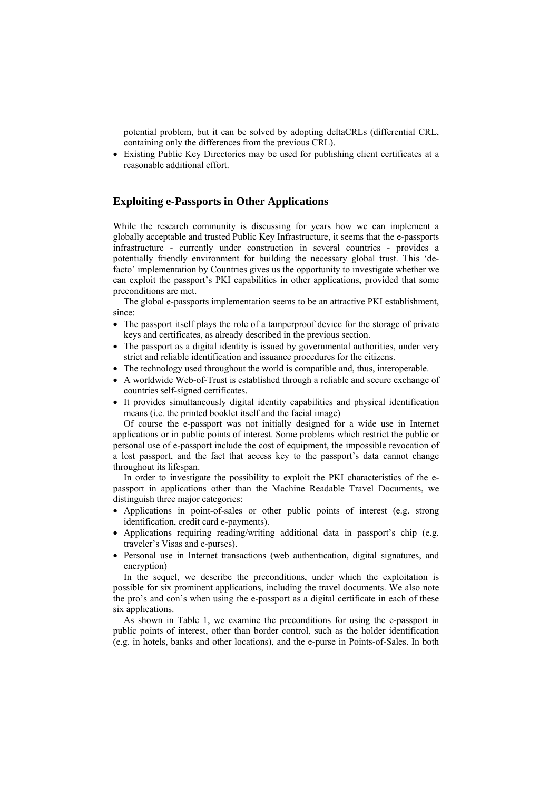potential problem, but it can be solved by adopting deltaCRLs (differential CRL, containing only the differences from the previous CRL).

• Existing Public Key Directories may be used for publishing client certificates at a reasonable additional effort.

# **Exploiting e-Passports in Other Applications**

While the research community is discussing for years how we can implement a globally acceptable and trusted Public Key Infrastructure, it seems that the e-passports infrastructure - currently under construction in several countries - provides a potentially friendly environment for building the necessary global trust. This 'defacto' implementation by Countries gives us the opportunity to investigate whether we can exploit the passport's PKI capabilities in other applications, provided that some preconditions are met.

The global e-passports implementation seems to be an attractive PKI establishment, since:

- The passport itself plays the role of a tamperproof device for the storage of private keys and certificates, as already described in the previous section.
- The passport as a digital identity is issued by governmental authorities, under very strict and reliable identification and issuance procedures for the citizens.
- The technology used throughout the world is compatible and, thus, interoperable.
- A worldwide Web-of-Trust is established through a reliable and secure exchange of countries self-signed certificates.
- It provides simultaneously digital identity capabilities and physical identification means (i.e. the printed booklet itself and the facial image)

Of course the e-passport was not initially designed for a wide use in Internet applications or in public points of interest. Some problems which restrict the public or personal use of e-passport include the cost of equipment, the impossible revocation of a lost passport, and the fact that access key to the passport's data cannot change throughout its lifespan.

In order to investigate the possibility to exploit the PKI characteristics of the epassport in applications other than the Machine Readable Travel Documents, we distinguish three major categories:

- Applications in point-of-sales or other public points of interest (e.g. strong identification, credit card e-payments).
- Applications requiring reading/writing additional data in passport's chip (e.g. traveler's Visas and e-purses).
- Personal use in Internet transactions (web authentication, digital signatures, and encryption)

In the sequel, we describe the preconditions, under which the exploitation is possible for six prominent applications, including the travel documents. We also note the pro's and con's when using the e-passport as a digital certificate in each of these six applications.

As shown in Table 1, we examine the preconditions for using the e-passport in public points of interest, other than border control, such as the holder identification (e.g. in hotels, banks and other locations), and the e-purse in Points-of-Sales. In both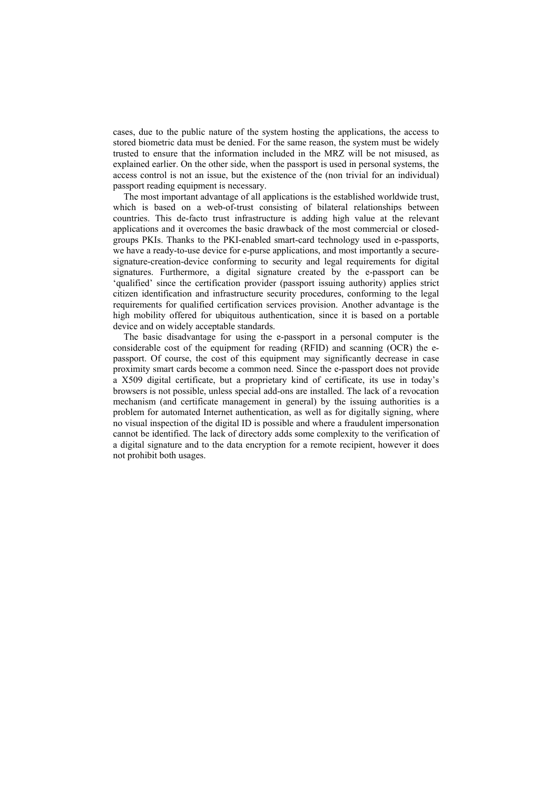cases, due to the public nature of the system hosting the applications, the access to stored biometric data must be denied. For the same reason, the system must be widely trusted to ensure that the information included in the MRZ will be not misused, as explained earlier. On the other side, when the passport is used in personal systems, the access control is not an issue, but the existence of the (non trivial for an individual) passport reading equipment is necessary.

The most important advantage of all applications is the established worldwide trust, which is based on a web-of-trust consisting of bilateral relationships between countries. This de-facto trust infrastructure is adding high value at the relevant applications and it overcomes the basic drawback of the most commercial or closedgroups PKIs. Thanks to the PKI-enabled smart-card technology used in e-passports, we have a ready-to-use device for e-purse applications, and most importantly a securesignature-creation-device conforming to security and legal requirements for digital signatures. Furthermore, a digital signature created by the e-passport can be 'qualified' since the certification provider (passport issuing authority) applies strict citizen identification and infrastructure security procedures, conforming to the legal requirements for qualified certification services provision. Another advantage is the high mobility offered for ubiquitous authentication, since it is based on a portable device and on widely acceptable standards.

The basic disadvantage for using the e-passport in a personal computer is the considerable cost of the equipment for reading (RFID) and scanning (OCR) the epassport. Of course, the cost of this equipment may significantly decrease in case proximity smart cards become a common need. Since the e-passport does not provide a X509 digital certificate, but a proprietary kind of certificate, its use in today's browsers is not possible, unless special add-ons are installed. The lack of a revocation mechanism (and certificate management in general) by the issuing authorities is a problem for automated Internet authentication, as well as for digitally signing, where no visual inspection of the digital ID is possible and where a fraudulent impersonation cannot be identified. The lack of directory adds some complexity to the verification of a digital signature and to the data encryption for a remote recipient, however it does not prohibit both usages.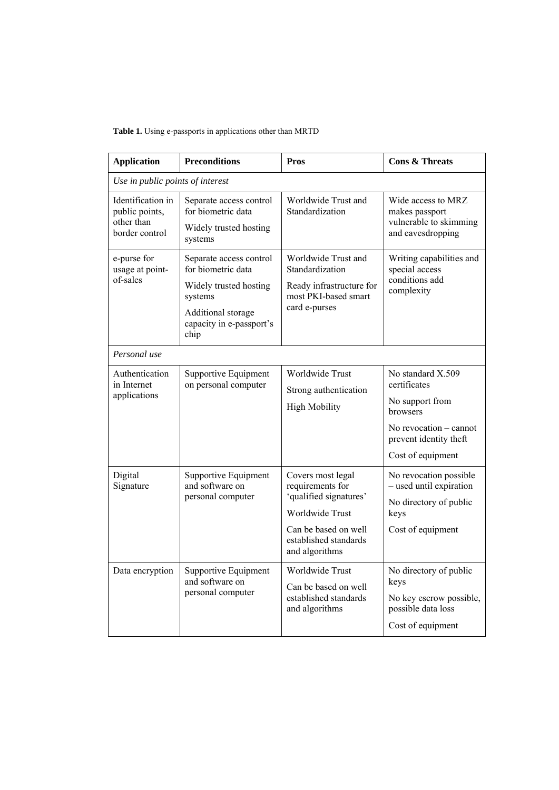# **Table 1.** Using e-passports in applications other than MRTD

| <b>Application</b>                                                  | <b>Preconditions</b>                                                                                                                         | <b>Pros</b>                                                                                                                                           | <b>Cons &amp; Threats</b>                                                                                                                 |
|---------------------------------------------------------------------|----------------------------------------------------------------------------------------------------------------------------------------------|-------------------------------------------------------------------------------------------------------------------------------------------------------|-------------------------------------------------------------------------------------------------------------------------------------------|
| Use in public points of interest                                    |                                                                                                                                              |                                                                                                                                                       |                                                                                                                                           |
| Identification in<br>public points,<br>other than<br>border control | Separate access control<br>for biometric data<br>Widely trusted hosting<br>systems                                                           | Worldwide Trust and<br>Standardization                                                                                                                | Wide access to MRZ<br>makes passport<br>vulnerable to skimming<br>and eavesdropping                                                       |
| e-purse for<br>usage at point-<br>of-sales                          | Separate access control<br>for biometric data<br>Widely trusted hosting<br>systems<br>Additional storage<br>capacity in e-passport's<br>chip | Worldwide Trust and<br>Standardization<br>Ready infrastructure for<br>most PKI-based smart<br>card e-purses                                           | Writing capabilities and<br>special access<br>conditions add<br>complexity                                                                |
| Personal use                                                        |                                                                                                                                              |                                                                                                                                                       |                                                                                                                                           |
| Authentication<br>in Internet<br>applications                       | Supportive Equipment<br>on personal computer                                                                                                 | <b>Worldwide Trust</b><br>Strong authentication<br><b>High Mobility</b>                                                                               | No standard X.509<br>certificates<br>No support from<br>browsers<br>No revocation - cannot<br>prevent identity theft<br>Cost of equipment |
| Digital<br>Signature                                                | Supportive Equipment<br>and software on<br>personal computer                                                                                 | Covers most legal<br>requirements for<br>'qualified signatures'<br>Worldwide Trust<br>Can be based on well<br>established standards<br>and algorithms | No revocation possible<br>- used until expiration<br>No directory of public<br>keys<br>Cost of equipment                                  |
| Data encryption                                                     | <b>Supportive Equipment</b><br>and software on<br>personal computer                                                                          | Worldwide Trust<br>Can be based on well<br>established standards<br>and algorithms                                                                    | No directory of public<br>keys<br>No key escrow possible,<br>possible data loss<br>Cost of equipment                                      |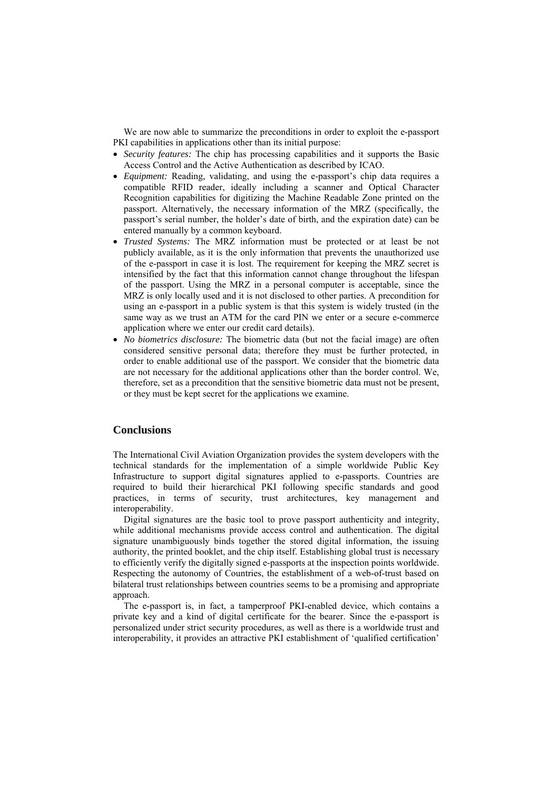We are now able to summarize the preconditions in order to exploit the e-passport PKI capabilities in applications other than its initial purpose:

- *Security features:* The chip has processing capabilities and it supports the Basic Access Control and the Active Authentication as described by ICAO.
- *Equipment:* Reading, validating, and using the e-passport's chip data requires a compatible RFID reader, ideally including a scanner and Optical Character Recognition capabilities for digitizing the Machine Readable Zone printed on the passport. Alternatively, the necessary information of the MRZ (specifically, the passport's serial number, the holder's date of birth, and the expiration date) can be entered manually by a common keyboard.
- *Trusted Systems:* The MRZ information must be protected or at least be not publicly available, as it is the only information that prevents the unauthorized use of the e-passport in case it is lost. The requirement for keeping the MRZ secret is intensified by the fact that this information cannot change throughout the lifespan of the passport. Using the MRZ in a personal computer is acceptable, since the MRZ is only locally used and it is not disclosed to other parties. A precondition for using an e-passport in a public system is that this system is widely trusted (in the same way as we trust an ATM for the card PIN we enter or a secure e-commerce application where we enter our credit card details).
- *No biometrics disclosure:* The biometric data (but not the facial image) are often considered sensitive personal data; therefore they must be further protected, in order to enable additional use of the passport. We consider that the biometric data are not necessary for the additional applications other than the border control. We, therefore, set as a precondition that the sensitive biometric data must not be present, or they must be kept secret for the applications we examine.

### **Conclusions**

The International Civil Aviation Organization provides the system developers with the technical standards for the implementation of a simple worldwide Public Key Infrastructure to support digital signatures applied to e-passports. Countries are required to build their hierarchical PKI following specific standards and good practices, in terms of security, trust architectures, key management and interoperability.

Digital signatures are the basic tool to prove passport authenticity and integrity, while additional mechanisms provide access control and authentication. The digital signature unambiguously binds together the stored digital information, the issuing authority, the printed booklet, and the chip itself. Establishing global trust is necessary to efficiently verify the digitally signed e-passports at the inspection points worldwide. Respecting the autonomy of Countries, the establishment of a web-of-trust based on bilateral trust relationships between countries seems to be a promising and appropriate approach.

The e-passport is, in fact, a tamperproof PKI-enabled device, which contains a private key and a kind of digital certificate for the bearer. Since the e-passport is personalized under strict security procedures, as well as there is a worldwide trust and interoperability, it provides an attractive PKI establishment of 'qualified certification'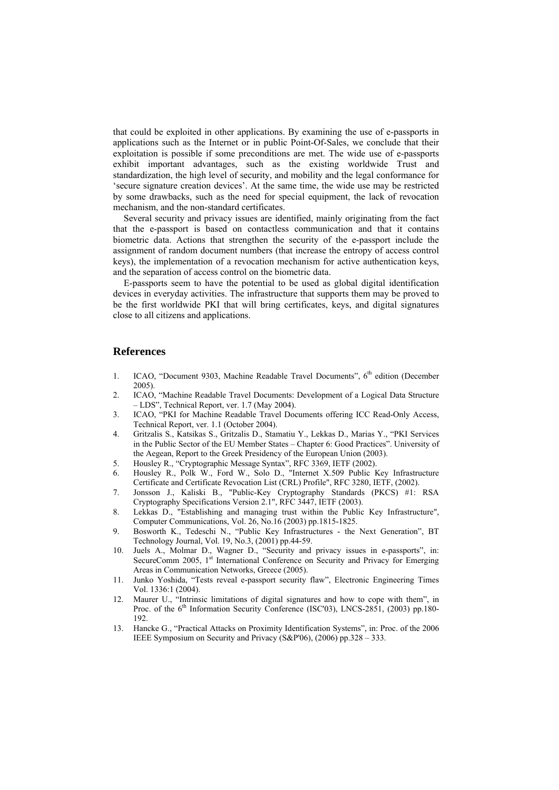that could be exploited in other applications. By examining the use of e-passports in applications such as the Internet or in public Point-Of-Sales, we conclude that their exploitation is possible if some preconditions are met. The wide use of e-passports exhibit important advantages, such as the existing worldwide Trust and standardization, the high level of security, and mobility and the legal conformance for 'secure signature creation devices'. At the same time, the wide use may be restricted by some drawbacks, such as the need for special equipment, the lack of revocation mechanism, and the non-standard certificates.

Several security and privacy issues are identified, mainly originating from the fact that the e-passport is based on contactless communication and that it contains biometric data. Actions that strengthen the security of the e-passport include the assignment of random document numbers (that increase the entropy of access control keys), the implementation of a revocation mechanism for active authentication keys, and the separation of access control on the biometric data.

E-passports seem to have the potential to be used as global digital identification devices in everyday activities. The infrastructure that supports them may be proved to be the first worldwide PKI that will bring certificates, keys, and digital signatures close to all citizens and applications.

### **References**

- 1. ICAO, "Document 9303, Machine Readable Travel Documents", 6<sup>th</sup> edition (December 2005).
- 2. ICAO, "Machine Readable Travel Documents: Development of a Logical Data Structure – LDS", Technical Report, ver. 1.7 (May 2004).
- 3. ICAO, "PKI for Machine Readable Travel Documents offering ICC Read-Only Access, Technical Report, ver. 1.1 (October 2004).
- 4. Gritzalis S., Katsikas S., Gritzalis D., Stamatiu Y., Lekkas D., Marias Y., "PKI Services in the Public Sector of the EU Member States – Chapter 6: Good Practices". University of the Aegean, Report to the Greek Presidency of the European Union (2003).
- 5. Housley R., "Cryptographic Message Syntax", RFC 3369, IETF (2002).
- 6. Housley R., Polk W., Ford W., Solo D., "Internet X.509 Public Key Infrastructure Certificate and Certificate Revocation List (CRL) Profile", RFC 3280, IETF, (2002).
- 7. Jonsson J., Kaliski B., "Public-Key Cryptography Standards (PKCS) #1: RSA Cryptography Specifications Version 2.1", RFC 3447, IETF (2003).
- 8. Lekkas D., "Establishing and managing trust within the Public Key Infrastructure", Computer Communications, Vol. 26, No.16 (2003) pp.1815-1825.
- 9. Bosworth K., Tedeschi N., "Public Key Infrastructures the Next Generation", BT Technology Journal, Vol. 19, No.3, (2001) pp.44-59.
- 10. Juels A., Molmar D., Wagner D., "Security and privacy issues in e-passports", in: SecureComm 2005, 1<sup>st</sup> International Conference on Security and Privacy for Emerging Areas in Communication Networks, Greece (2005).
- 11. Junko Yoshida, "Tests reveal e-passport security flaw", Electronic Engineering Times Vol. 1336:1 (2004).
- 12. Maurer U., "Intrinsic limitations of digital signatures and how to cope with them", in Proc. of the  $6<sup>th</sup>$  Information Security Conference (ISC'03), LNCS-2851, (2003) pp.180-192.
- 13. Hancke G., "Practical Attacks on Proximity Identification Systems", in: Proc. of the 2006 IEEE Symposium on Security and Privacy (S&P'06), (2006) pp.328 – 333.